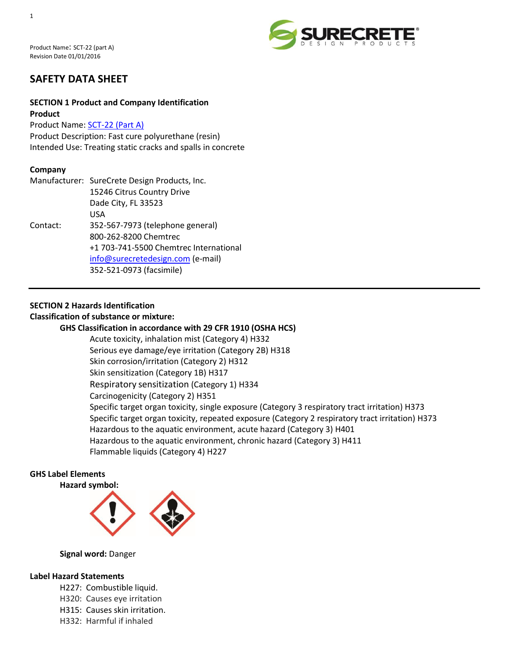

# **SAFETY DATA SHEET**

# **SECTION 1 Product and Company Identification Product**

Product Name: [SCT-22 \(Part A\)](http://www.surecretedesign.com/sct-22/) Product Description: Fast cure polyurethane (resin) Intended Use: Treating static cracks and spalls in concrete

# **Company**

|          | Manufacturer: SureCrete Design Products, Inc. |
|----------|-----------------------------------------------|
|          | 15246 Citrus Country Drive                    |
|          | Dade City, FL 33523                           |
|          | USA                                           |
| Contact: | 352-567-7973 (telephone general)              |
|          | 800-262-8200 Chemtrec                         |
|          | +1 703-741-5500 Chemtrec International        |
|          | info@surecretedesign.com (e-mail)             |
|          | 352-521-0973 (facsimile)                      |

# **SECTION 2 Hazards Identification**

#### **Classification of substance or mixture:**

#### **GHS Classification in accordance with 29 CFR 1910 (OSHA HCS)**

Acute toxicity, inhalation mist (Category 4) H332 Serious eye damage/eye irritation (Category 2B) H318 Skin corrosion/irritation (Category 2) H312 Skin sensitization (Category 1B) H317 Respiratory sensitization (Category 1) H334 Carcinogenicity (Category 2) H351 Specific target organ toxicity, single exposure (Category 3 respiratory tract irritation) H373 Specific target organ toxicity, repeated exposure (Category 2 respiratory tract irritation) H373 Hazardous to the aquatic environment, acute hazard (Category 3) H401 Hazardous to the aquatic environment, chronic hazard (Category 3) H411 Flammable liquids (Category 4) H227

# **GHS Label Elements**

**Hazard symbol:**



#### **Signal word:** Danger

#### **Label Hazard Statements**

- H227: Combustible liquid.
- H320: Causes eye irritation
- H315: Causes skin irritation.
- H332: Harmful if inhaled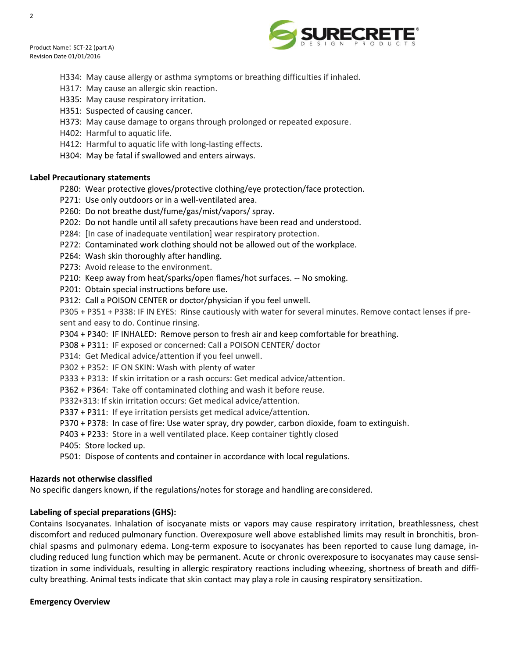$\overline{2}$ 



- H334: May cause allergy or asthma symptoms or breathing difficulties if inhaled.
- H317: May cause an allergic skin reaction.
- H335: May cause respiratory irritation.
- H351: Suspected of causing cancer.
- H373: May cause damage to organs through prolonged or repeated exposure.
- H402: Harmful to aquatic life.
- H412: Harmful to aquatic life with long-lasting effects.
- H304: May be fatal if swallowed and enters airways.

# **Label Precautionary statements**

- P280: Wear protective gloves/protective clothing/eye protection/face protection.
- P271: Use only outdoors or in a well-ventilated area.
- P260: Do not breathe dust/fume/gas/mist/vapors/ spray.
- P202: Do not handle until all safety precautions have been read and understood.
- P284: [In case of inadequate ventilation] wear respiratory protection.
- P272: Contaminated work clothing should not be allowed out of the workplace.
- P264: Wash skin thoroughly after handling.
- P273: Avoid release to the environment.
- P210: Keep away from heat/sparks/open flames/hot surfaces. -- No smoking.
- P201: Obtain special instructions before use.
- P312: Call a POISON CENTER or doctor/physician if you feel unwell.
- P305 + P351 + P338: IF IN EYES: Rinse cautiously with water for several minutes. Remove contact lenses if present and easy to do. Continue rinsing.
- P304 + P340: IF INHALED: Remove person to fresh air and keep comfortable for breathing.
- P308 + P311: IF exposed or concerned: Call a POISON CENTER/ doctor
- P314: Get Medical advice/attention if you feel unwell.
- P302 + P352: IF ON SKIN: Wash with plenty of water
- P333 + P313: If skin irritation or a rash occurs: Get medical advice/attention.
- P362 + P364: Take off contaminated clothing and wash it before reuse.
- P332+313: If skin irritation occurs: Get medical advice/attention.
- P337 + P311: If eye irritation persists get medical advice/attention.
- P370 + P378: In case of fire: Use water spray, dry powder, carbon dioxide, foam to extinguish.
- P403 + P233: Store in a well ventilated place. Keep container tightly closed
- P405: Store locked up.
- P501: Dispose of contents and container in accordance with local regulations.

# **Hazards not otherwise classified**

No specific dangers known, if the regulations/notes for storage and handling areconsidered.

# **Labeling of special preparations(GHS):**

Contains Isocyanates. Inhalation of isocyanate mists or vapors may cause respiratory irritation, breathlessness, chest discomfort and reduced pulmonary function. Overexposure well above established limits may result in bronchitis, bronchial spasms and pulmonary edema. Long-term exposure to isocyanates has been reported to cause lung damage, including reduced lung function which may be permanent. Acute or chronic overexposure to isocyanates may cause sensitization in some individuals, resulting in allergic respiratory reactions including wheezing, shortness of breath and difficulty breathing. Animal tests indicate that skin contact may play a role in causing respiratory sensitization.

# **Emergency Overview**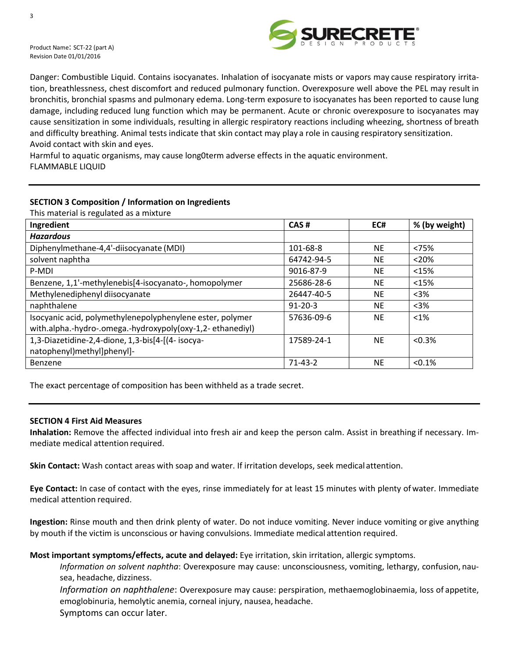

Danger: Combustible Liquid. Contains isocyanates. Inhalation of isocyanate mists or vapors may cause respiratory irritation, breathlessness, chest discomfort and reduced pulmonary function. Overexposure well above the PEL may result in bronchitis, bronchial spasms and pulmonary edema. Long-term exposure to isocyanates has been reported to cause lung damage, including reduced lung function which may be permanent. Acute or chronic overexposure to isocyanates may cause sensitization in some individuals, resulting in allergic respiratory reactions including wheezing, shortness of breath and difficulty breathing. Animal tests indicate that skin contact may play a role in causing respiratory sensitization. Avoid contact with skin and eyes.

Harmful to aquatic organisms, may cause long0term adverse effects in the aquatic environment. FLAMMABLE LIQUID

# **SECTION 3 Composition / Information on Ingredients**

This material is regulated as a mixture

| Ingredient                                                                                                             | CAS#          | EC#       | % (by weight) |
|------------------------------------------------------------------------------------------------------------------------|---------------|-----------|---------------|
| <b>Hazardous</b>                                                                                                       |               |           |               |
| Diphenylmethane-4,4'-diisocyanate (MDI)                                                                                | 101-68-8      | <b>NE</b> | < 75%         |
| solvent naphtha                                                                                                        | 64742-94-5    | <b>NE</b> | < 20%         |
| P-MDI                                                                                                                  | 9016-87-9     | <b>NE</b> | <15%          |
| Benzene, 1,1'-methylenebis[4-isocyanato-, homopolymer                                                                  | 25686-28-6    | <b>NE</b> | <15%          |
| Methylenediphenyl diisocyanate                                                                                         | 26447-40-5    | <b>NE</b> | $3%$          |
| naphthalene                                                                                                            | $91 - 20 - 3$ | <b>NE</b> | $3%$          |
| Isocyanic acid, polymethylenepolyphenylene ester, polymer<br>with.alpha.-hydro-.omega.-hydroxypoly(oxy-1,2-ethanediyl) | 57636-09-6    | <b>NE</b> | $<1\%$        |
| 1,3-Diazetidine-2,4-dione, 1,3-bis[4-[(4- isocya-                                                                      | 17589-24-1    | <b>NE</b> | < 0.3%        |
| natophenyl)methyl]phenyl]-                                                                                             |               |           |               |
| Benzene                                                                                                                | $71 - 43 - 2$ | <b>NE</b> | < 0.1%        |

The exact percentage of composition has been withheld as a trade secret.

#### **SECTION 4 First Aid Measures**

**Inhalation:** Remove the affected individual into fresh air and keep the person calm. Assist in breathing if necessary. Immediate medical attention required.

**Skin Contact:** Wash contact areas with soap and water. If irritation develops, seek medical attention.

**Eye Contact:** In case of contact with the eyes, rinse immediately for at least 15 minutes with plenty ofwater. Immediate medical attention required.

**Ingestion:** Rinse mouth and then drink plenty of water. Do not induce vomiting. Never induce vomiting or give anything by mouth if the victim is unconscious or having convulsions. Immediate medical attention required.

#### **Most important symptoms/effects, acute and delayed:** Eye irritation, skin irritation, allergic symptoms.

*Information on solvent naphtha*: Overexposure may cause: unconsciousness, vomiting, lethargy, confusion, nausea, headache, dizziness.

*Information on naphthalene*: Overexposure may cause: perspiration, methaemoglobinaemia, loss of appetite, emoglobinuria, hemolytic anemia, corneal injury, nausea, headache.

Symptoms can occur later.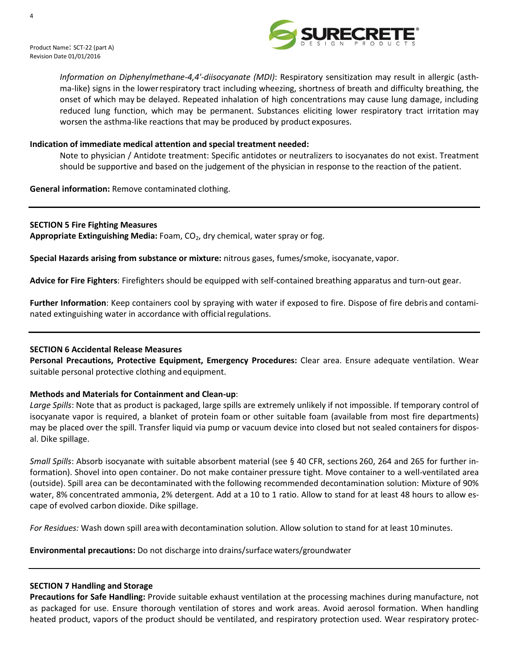



*Information on Diphenylmethane-4,4'-diisocyanate (MDI)*: Respiratory sensitization may result in allergic (asthma-like) signs in the lowerrespiratory tract including wheezing, shortness of breath and difficulty breathing, the onset of which may be delayed. Repeated inhalation of high concentrations may cause lung damage, including reduced lung function, which may be permanent. Substances eliciting lower respiratory tract irritation may worsen the asthma-like reactions that may be produced by product exposures.

# **Indication of immediate medical attention and special treatment needed:**

Note to physician / Antidote treatment: Specific antidotes or neutralizers to isocyanates do not exist. Treatment should be supportive and based on the judgement of the physician in response to the reaction of the patient.

**General information:** Remove contaminated clothing.

### **SECTION 5 Fire Fighting Measures**

Appropriate Extinguishing Media: Foam, CO<sub>2</sub>, dry chemical, water spray or fog.

**Special Hazards arising from substance or mixture:** nitrous gases, fumes/smoke, isocyanate, vapor.

**Advice for Fire Fighters**: Firefighters should be equipped with self-contained breathing apparatus and turn-out gear.

**Further Information**: Keep containers cool by spraying with water if exposed to fire. Dispose of fire debris and contaminated extinguishing water in accordance with official regulations.

#### **SECTION 6 Accidental Release Measures**

**Personal Precautions, Protective Equipment, Emergency Procedures:** Clear area. Ensure adequate ventilation. Wear suitable personal protective clothing and equipment.

# **Methods and Materials for Containment and Clean-up**:

*Large Spills*: Note that as product is packaged, large spills are extremely unlikely if not impossible. If temporary control of isocyanate vapor is required, a blanket of protein foam or other suitable foam (available from most fire departments) may be placed over the spill. Transfer liquid via pump or vacuum device into closed but not sealed containers for disposal. Dike spillage.

*Small Spills*: Absorb isocyanate with suitable absorbent material (see § 40 CFR, sections 260, 264 and 265 for further information). Shovel into open container. Do not make container pressure tight. Move container to a well-ventilated area (outside). Spill area can be decontaminated with the following recommended decontamination solution: Mixture of 90% water, 8% concentrated ammonia, 2% detergent. Add at a 10 to 1 ratio. Allow to stand for at least 48 hours to allow escape of evolved carbon dioxide. Dike spillage.

*For Residues:* Wash down spill areawith decontamination solution. Allow solution to stand for at least 10minutes.

**Environmental precautions:** Do not discharge into drains/surfacewaters/groundwater

# **SECTION 7 Handling and Storage**

**Precautions for Safe Handling:** Provide suitable exhaust ventilation at the processing machines during manufacture, not as packaged for use. Ensure thorough ventilation of stores and work areas. Avoid aerosol formation. When handling heated product, vapors of the product should be ventilated, and respiratory protection used. Wear respiratory protec-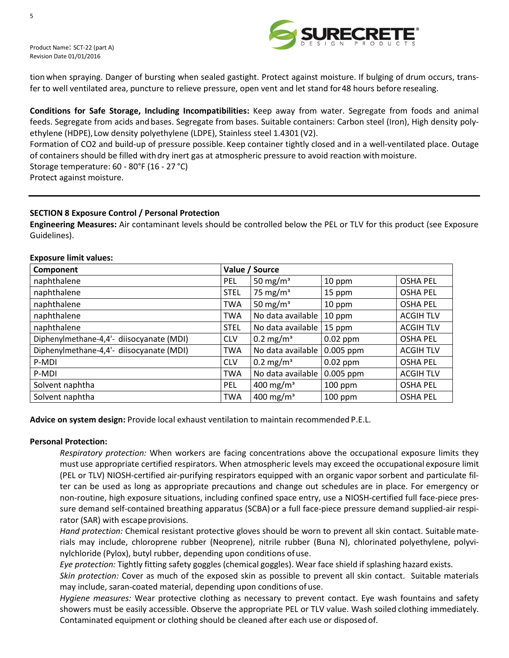

tion when spraying. Danger of bursting when sealed gastight. Protect against moisture. If bulging of drum occurs, transfer to well ventilated area, puncture to relieve pressure, open vent and let stand for48 hours before resealing.

**Conditions for Safe Storage, Including Incompatibilities:** Keep away from water. Segregate from foods and animal feeds. Segregate from acids and bases. Segregate from bases. Suitable containers: Carbon steel (Iron), High density polyethylene (HDPE), Low density polyethylene (LDPE), Stainless steel 1.4301 (V2).

Formation of CO2 and build-up of pressure possible. Keep container tightly closed and in a well-ventilated place. Outage of containers should be filled withdry inert gas at atmospheric pressure to avoid reaction withmoisture. Storage temperature: 60 - 80°F (16 - 27 °C) Protect against moisture.

# **SECTION 8 Exposure Control / Personal Protection**

**Engineering Measures:** Air contaminant levels should be controlled below the PEL or TLV for this product (see Exposure Guidelines).

| Component                                | Value / Source |                       |             |                  |
|------------------------------------------|----------------|-----------------------|-------------|------------------|
| naphthalene                              | PEL            | 50 mg/m <sup>3</sup>  | 10 ppm      | <b>OSHA PEL</b>  |
| naphthalene                              | <b>STEL</b>    | 75 mg/m <sup>3</sup>  | 15 ppm      | <b>OSHA PEL</b>  |
| naphthalene                              | <b>TWA</b>     | 50 mg/m <sup>3</sup>  | 10 ppm      | <b>OSHA PEL</b>  |
| naphthalene                              | TWA            | No data available     | 10 ppm      | <b>ACGIH TLV</b> |
| naphthalene                              | <b>STEL</b>    | No data available     | 15 ppm      | <b>ACGIH TLV</b> |
| Diphenylmethane-4,4'- diisocyanate (MDI) | <b>CLV</b>     | $0.2 \text{ mg/m}^3$  | $0.02$ ppm  | <b>OSHA PEL</b>  |
| Diphenylmethane-4,4'- diisocyanate (MDI) | <b>TWA</b>     | No data available     | 0.005 ppm   | <b>ACGIH TLV</b> |
| P-MDI                                    | <b>CLV</b>     | $0.2 \text{ mg/m}^3$  | $0.02$ ppm  | <b>OSHA PEL</b>  |
| P-MDI                                    | <b>TWA</b>     | No data available     | $0.005$ ppm | <b>ACGIH TLV</b> |
| Solvent naphtha                          | <b>PEL</b>     | 400 mg/m <sup>3</sup> | $100$ ppm   | <b>OSHA PEL</b>  |
| Solvent naphtha                          | <b>TWA</b>     | 400 mg/m <sup>3</sup> | $100$ ppm   | <b>OSHA PEL</b>  |

### **Exposure limit values:**

**Advice on system design:** Provide local exhaust ventilation to maintain recommended P.E.L.

#### **Personal Protection:**

*Respiratory protection:* When workers are facing concentrations above the occupational exposure limits they must use appropriate certified respirators. When atmospheric levels may exceed the occupational exposure limit (PEL or TLV) NIOSH-certified air-purifying respirators equipped with an organic vaporsorbent and particulate filter can be used as long as appropriate precautions and change out schedules are in place. For emergency or non-routine, high exposure situations, including confined space entry, use a NIOSH-certified full face-piece pressure demand self-contained breathing apparatus (SCBA) or a full face-piece pressure demand supplied-air respirator (SAR) with escape provisions.

*Hand protection:* Chemical resistant protective gloves should be worn to prevent all skin contact. Suitablematerials may include, chloroprene rubber (Neoprene), nitrile rubber (Buna N), chlorinated polyethylene, polyvinylchloride (Pylox), butyl rubber, depending upon conditions ofuse.

*Eye protection:* Tightly fitting safety goggles (chemical goggles). Wear face shield if splashing hazard exists.

*Skin protection:* Cover as much of the exposed skin as possible to prevent all skin contact. Suitable materials may include, saran-coated material, depending upon conditions of use.

*Hygiene measures:* Wear protective clothing as necessary to prevent contact. Eye wash fountains and safety showers must be easily accessible. Observe the appropriate PEL or TLV value. Wash soiled clothing immediately. Contaminated equipment or clothing should be cleaned after each use or disposed of.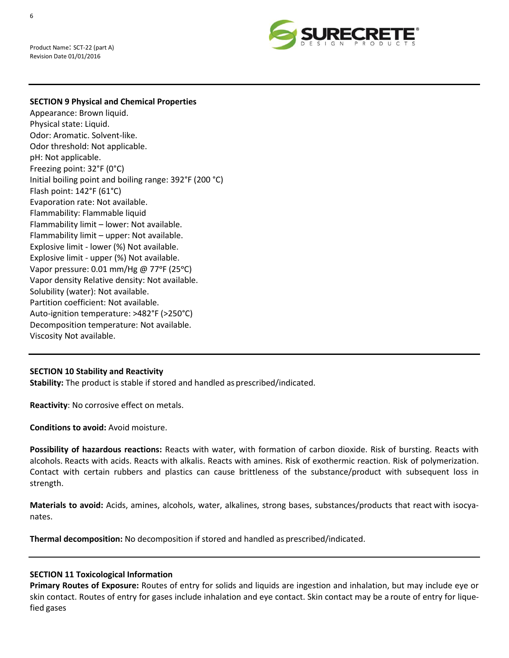

#### **SECTION 9 Physical and Chemical Properties**

Appearance: Brown liquid. Physical state: Liquid. Odor: Aromatic. Solvent-like. Odor threshold: Not applicable. pH: Not applicable. Freezing point: 32°F (0°C) Initial boiling point and boiling range: 392°F (200 °C) Flash point: 142°F (61°C) Evaporation rate: Not available. Flammability: Flammable liquid Flammability limit – lower: Not available. Flammability limit – upper: Not available. Explosive limit - lower (%) Not available. Explosive limit - upper (%) Not available. Vapor pressure: 0.01 mm/Hg @ 77ᵒF (25ᵒC) Vapor density Relative density: Not available. Solubility (water): Not available. Partition coefficient: Not available. Auto-ignition temperature: >482°F (>250°C) Decomposition temperature: Not available. Viscosity Not available.

#### **SECTION 10 Stability and Reactivity**

**Stability:** The product is stable if stored and handled as prescribed/indicated.

**Reactivity**: No corrosive effect on metals.

**Conditions to avoid:** Avoid moisture.

**Possibility of hazardous reactions:** Reacts with water, with formation of carbon dioxide. Risk of bursting. Reacts with alcohols. Reacts with acids. Reacts with alkalis. Reacts with amines. Risk of exothermic reaction. Risk of polymerization. Contact with certain rubbers and plastics can cause brittleness of the substance/product with subsequent loss in strength.

**Materials to avoid:** Acids, amines, alcohols, water, alkalines, strong bases, substances/products that react with isocyanates.

**Thermal decomposition:** No decomposition if stored and handled as prescribed/indicated.

#### **SECTION 11 Toxicological Information**

**Primary Routes of Exposure:** Routes of entry for solids and liquids are ingestion and inhalation, but may include eye or skin contact. Routes of entry for gases include inhalation and eye contact. Skin contact may be a route of entry for liquefied gases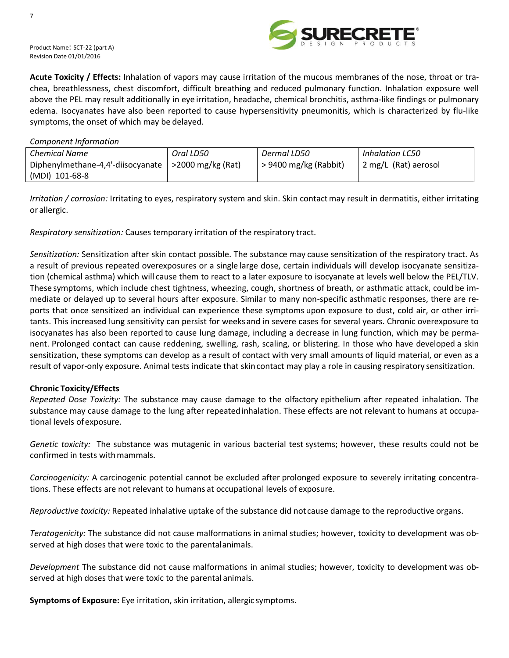

**Acute Toxicity / Effects:** Inhalation of vapors may cause irritation of the mucous membranes of the nose, throat or trachea, breathlessness, chest discomfort, difficult breathing and reduced pulmonary function. Inhalation exposure well above the PEL may result additionally in eye irritation, headache, chemical bronchitis, asthma-like findings or pulmonary edema. Isocyanates have also been reported to cause hypersensitivity pneumonitis, which is characterized by flu-like symptoms, the onset of which may be delayed.

*Component Information*

| Chemical Name                     | Oral LD50            | Dermal LD50             | Inhalation LC50      |
|-----------------------------------|----------------------|-------------------------|----------------------|
| Diphenylmethane-4,4'-diisocyanate | $>$ 2000 mg/kg (Rat) | $> 9400$ mg/kg (Rabbit) | 2 mg/L (Rat) aerosol |
| (MDI) 101-68-8                    |                      |                         |                      |

*Irritation / corrosion:* Irritating to eyes, respiratory system and skin. Skin contactmay result in dermatitis, either irritating or allergic.

*Respiratory sensitization:* Causes temporary irritation of the respiratory tract.

*Sensitization:* Sensitization after skin contact possible. The substance may cause sensitization of the respiratory tract. As a result of previous repeated overexposures or a single large dose, certain individuals will develop isocyanate sensitization (chemical asthma) which will cause them to react to a later exposure to isocyanate at levels well below the PEL/TLV. These symptoms, which include chest tightness, wheezing, cough, shortness of breath, or asthmatic attack, could be immediate or delayed up to several hours after exposure. Similar to many non-specific asthmatic responses, there are reports that once sensitized an individual can experience these symptoms upon exposure to dust, cold air, or other irritants. This increased lung sensitivity can persist for weeks and in severe cases for several years. Chronic overexposure to isocyanates has also been reported to cause lung damage, including a decrease in lung function, which may be permanent. Prolonged contact can cause reddening, swelling, rash, scaling, or blistering. In those who have developed a skin sensitization, these symptoms can develop as a result of contact with very small amounts of liquid material, or even as a result of vapor-only exposure. Animal tests indicate that skincontact may play a role in causing respiratory sensitization.

#### **Chronic Toxicity/Effects**

*Repeated Dose Toxicity:* The substance may cause damage to the olfactory epithelium after repeated inhalation. The substance may cause damage to the lung after repeatedinhalation. These effects are not relevant to humans at occupational levels ofexposure.

*Genetic toxicity:* The substance was mutagenic in various bacterial test systems; however, these results could not be confirmed in tests with mammals.

*Carcinogenicity:* A carcinogenic potential cannot be excluded after prolonged exposure to severely irritating concentrations. These effects are not relevant to humans at occupational levels of exposure.

*Reproductive toxicity:* Repeated inhalative uptake of the substance did notcause damage to the reproductive organs.

*Teratogenicity:* The substance did not cause malformations in animal studies; however, toxicity to development was observed at high doses that were toxic to the parentalanimals.

*Development* The substance did not cause malformations in animal studies; however, toxicity to development was observed at high doses that were toxic to the parental animals.

**Symptoms of Exposure:** Eye irritation, skin irritation, allergic symptoms.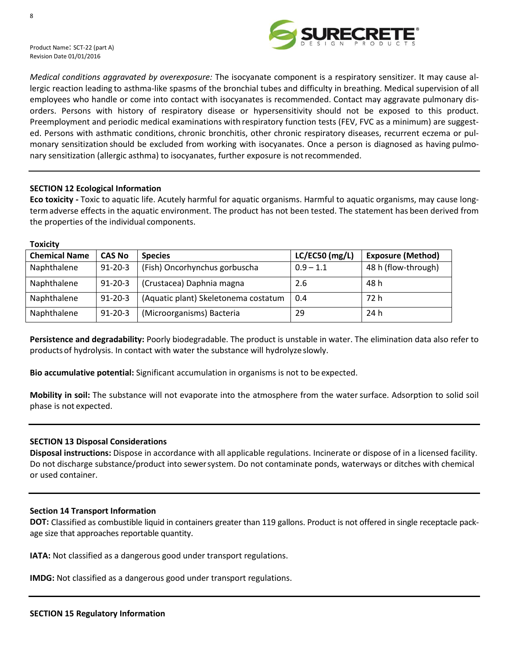

*Medical conditions aggravated by overexposure:* The isocyanate component is a respiratory sensitizer. It may cause allergic reaction leading to asthma-like spasms of the bronchial tubes and difficulty in breathing. Medical supervision of all employees who handle or come into contact with isocyanates is recommended. Contact may aggravate pulmonary disorders. Persons with history of respiratory disease or hypersensitivity should not be exposed to this product. Preemployment and periodic medical examinations with respiratory function tests (FEV, FVC as a minimum) are suggested. Persons with asthmatic conditions, chronic bronchitis, other chronic respiratory diseases, recurrent eczema or pulmonary sensitization should be excluded from working with isocyanates. Once a person is diagnosed as having pulmonary sensitization (allergic asthma) to isocyanates, further exposure is notrecommended.

# **SECTION 12 Ecological Information**

**Eco toxicity -** Toxic to aquatic life. Acutely harmful for aquatic organisms. Harmful to aquatic organisms, may cause longtermadverse effects in the aquatic environment. The product has not been tested. The statement has been derived from the properties of the individual components.

#### **Toxicity**

| <b>Chemical Name</b> | <b>CAS No</b> | <b>Species</b>                       | $LC/EC50$ (mg/L) | <b>Exposure (Method)</b> |
|----------------------|---------------|--------------------------------------|------------------|--------------------------|
| Naphthalene          | $91 - 20 - 3$ | (Fish) Oncorhynchus gorbuscha        | $0.9 - 1.1$      | 48 h (flow-through)      |
| Naphthalene          | $91 - 20 - 3$ | (Crustacea) Daphnia magna            | 2.6              | 48 h                     |
| Naphthalene          | $91 - 20 - 3$ | (Aquatic plant) Skeletonema costatum | 0.4              | 72 h                     |
| Naphthalene          | $91 - 20 - 3$ | (Microorganisms) Bacteria            | 29               | 24 h                     |

**Persistence and degradability:** Poorly biodegradable. The product is unstable in water. The elimination data also refer to productsof hydrolysis. In contact with water the substance will hydrolyzeslowly.

**Bio accumulative potential:** Significant accumulation in organisms is not to be expected.

**Mobility in soil:** The substance will not evaporate into the atmosphere from the water surface. Adsorption to solid soil phase is not expected.

#### **SECTION 13 Disposal Considerations**

**Disposal instructions:** Dispose in accordance with all applicable regulations. Incinerate or dispose of in a licensed facility. Do not discharge substance/product into sewersystem. Do not contaminate ponds, waterways or ditches with chemical or used container.

#### **Section 14 Transport Information**

**DOT:** Classified as combustible liquid in containers greater than 119 gallons. Product is not offered in single receptacle package size that approaches reportable quantity.

**IATA:** Not classified as a dangerous good under transport regulations.

**IMDG:** Not classified as a dangerous good under transport regulations.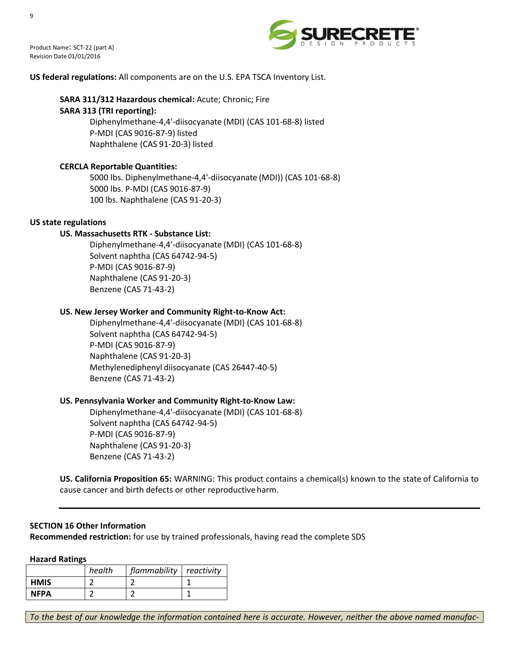



# **US federal regulations:** All components are on the U.S. EPA TSCA Inventory List.

# **SARA 311/312 Hazardous chemical:** Acute; Chronic; Fire

# **SARA 313 (TRI reporting):**

Diphenylmethane-4,4'-diisocyanate (MDI) (CAS 101-68-8) listed P-MDI (CAS 9016-87-9) listed Naphthalene (CAS 91-20-3) listed

# **CERCLA Reportable Quantities:**

5000 lbs. Diphenylmethane-4,4'-diisocyanate (MDI)) (CAS 101-68-8) 5000 lbs. P-MDI (CAS 9016-87-9) 100 lbs. Naphthalene (CAS 91-20-3)

# **US state regulations**

# **US. Massachusetts RTK - Substance List:**

Diphenylmethane-4,4'-diisocyanate (MDI) (CAS 101-68-8) Solvent naphtha (CAS 64742-94-5) P-MDI (CAS 9016-87-9) Naphthalene (CAS 91-20-3) Benzene (CAS 71-43-2)

# **US. New Jersey Worker and Community Right-to-Know Act:**

Diphenylmethane-4,4'-diisocyanate (MDI) (CAS 101-68-8) Solvent naphtha (CAS 64742-94-5) P-MDI (CAS 9016-87-9) Naphthalene (CAS 91-20-3) Methylenediphenyl diisocyanate (CAS 26447-40-5) Benzene (CAS 71-43-2)

# **US. Pennsylvania Worker and Community Right-to-Know Law:**

Diphenylmethane-4,4'-diisocyanate (MDI) (CAS 101-68-8) Solvent naphtha (CAS 64742-94-5) P-MDI (CAS 9016-87-9) Naphthalene (CAS 91-20-3) Benzene (CAS 71-43-2)

**US. California Proposition 65:** WARNING: This product contains a chemical(s) known to the state of California to cause cancer and birth defects or other reproductive harm.

# **SECTION 16 Other Information**

**Recommended restriction:** for use by trained professionals, having read the complete SDS

#### **Hazard Ratings**

|             | health | flammability reactivity |  |
|-------------|--------|-------------------------|--|
| <b>HMIS</b> |        |                         |  |
| <b>NFPA</b> |        |                         |  |

*To the best of our knowledge the information contained here is accurate. However, neither the above named manufac-*